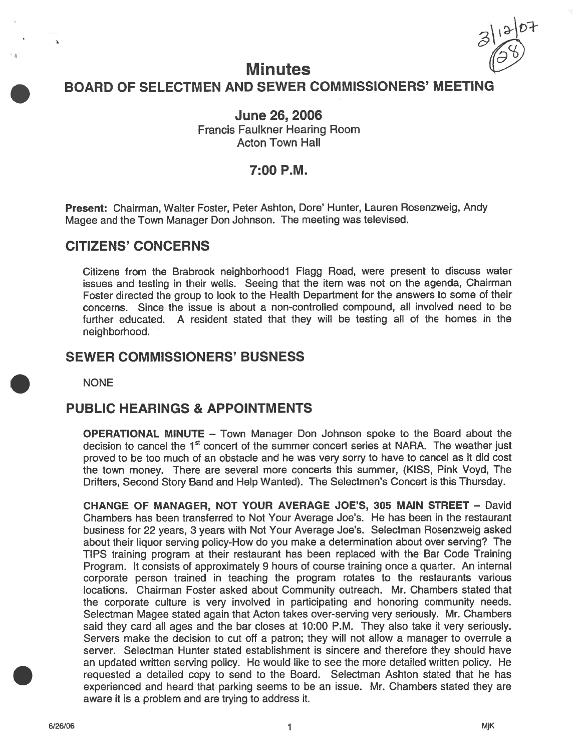$313/07$ 

# **Minutes** BOARD OF SELECTMEN AND SEWER COMMISSIONERS' MEETING

June 26, 2006 Francis Faulkner Hearing Room Acton Town Hall

## 7:00 P.M.

Present: Chairman, Walter Foster, Peter Ashton, Dote' Hunter, Lauren Rosenzweig, Andy Magee and the Town Manager Don Johnson. The meeting was televised.

# CITIZENS' CONCERNS

Citizens from the Brabrook neighborhoodl Flagg Road, were presen<sup>t</sup> to discuss water issues and testing in their wells. Seeing that the item was not on the agenda, Chairman Foster directed the group to look to the Health Department for the answers to some of their concerns. Since the issue is about <sup>a</sup> non-controlled compound, all involved need to be further educated. A resident stated that they will be testing all of the homes in the neighborhood.

# SEWER COMMISSIONERS' BUSNESS

**NONE** 

# PUBLIC HEARINGS & APPOINTMENTS

OPERATIONAL MINUTE — Town Manager Don Johnson spoke to the Board about the decision to cancel the 1<sup>st</sup> concert of the summer concert series at NARA. The weather just proved to be too much of an obstacle and he was very sorry to have to cancel as it did cost the town money. There are several more concerts this summer, (KISS, Pink Voyd, The Drifters, Second Story Band and Help Wanted). The Selectmen's Concert is this Thursday.

CHANGE OF MANAGER, NOT YOUR AVERAGE JOE'S, 305 MAIN STREET — David Chambers has been transferred to Not Your Average Joe's. He has been in the restaurant business for 22 years, 3 years with Not Your Average Joe's. Selectman Rosenzweig asked about their liquor serving policy-How do you make <sup>a</sup> determination about over serving? The TIPS training program at their restaurant has been replaced with the Bar Code Training Program. It consists of approximately 9 hours of course training once <sup>a</sup> quarter. An internal corporate person trained in teaching the program rotates to the restaurants various locations. Chairman Foster asked about Community outreach. Mr. Chambers stated that the corporate culture is very involved in participating and honoring community needs. Selectman Magee stated again that Acton takes over-serving very seriously. Mr. Chambers said they card all ages and the bar closes at 10:00 P.M. They also take it very seriously. Servers make the decision to cut off <sup>a</sup> patron; they will not allow <sup>a</sup> manager to overrule <sup>a</sup> server. Selectman Hunter stated establishment is sincere and therefore they should have an updated written serving policy. He would like to see the more detailed written policy. He requested <sup>a</sup> detailed copy to send to the Board. Selectman Ashton stated that he has experienced and heard that parking seems to be an issue. Mr. Chambers stated they are aware it is <sup>a</sup> problem and are trying to address it.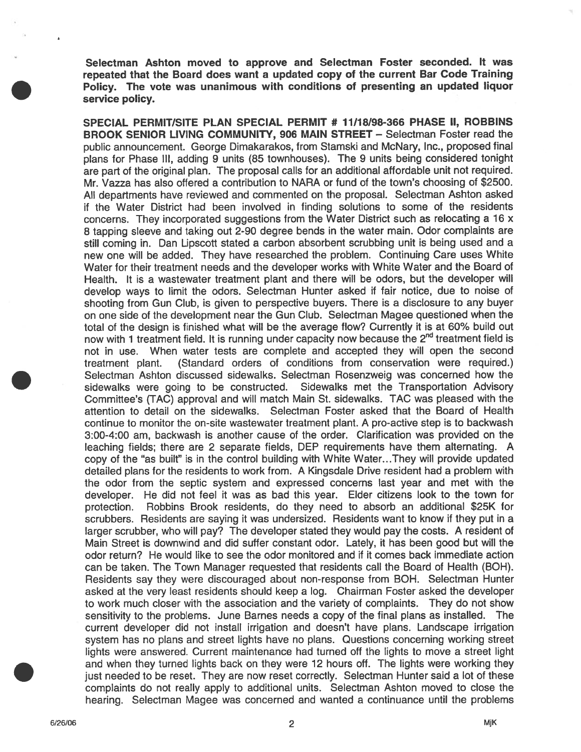Selectman Ashton moved to approve and Selectman Foster seconded. It was repeated that the Board does want <sup>a</sup> updated copy of the current Bar Code Training Policy. The vote was unanimous with conditions of presenting an updated liquor service policy.

SPECIAL PERMIT/SITE PLAN SPECIAL PERMIT # 11/78/98-366 PHASE II, ROBBINS BROOK SENIOR LIVING COMMUNITY, 906 MAIN STREET – Selectman Foster read the public announcement. George Dimakarakos, from Stamski and McNary, Inc., propose<sup>d</sup> final <sup>p</sup>lans for Phase Ill, adding <sup>9</sup> units (85 townhouses). The <sup>9</sup> units being considered tonight are par<sup>t</sup> of the original <sup>p</sup>lan. The proposa<sup>l</sup> calls for an additional affordable unit not required. Mr. Vazza has also offered <sup>a</sup> contribution to NARA or fund of the town's choosing of \$2500. All departments have reviewed and commented on the proposal. Selectman Ashton asked if the Water District had been involved in finding solutions to some of the residents concerns. They incorporated suggestions from the Water District such as relocating <sup>a</sup> 16 x <sup>8</sup> tapping sleeve and taking out 2-90 degree bends in the water main. Odor complaints are still coming in. Dan Lipscoff stated <sup>a</sup> carbon absorbent scrubbing unit is being used and a new one will be added. They have researched the problem. Continuing Care uses White Water for their treatment needs and the developer works with White Water and the Board of Health, It is <sup>a</sup> wastewater treatment plant and there will be odors, but the developer will develop ways to limit the odors. Selectman Hunter asked if fair notice, due to noise of shooting from Gun Club, is given to perspective buyers. There is <sup>a</sup> disclosure to any buyer on one side of the development near the Gun Club. Selectman Magee questioned when the total of the design is finished what will be the average flow? Currently it is at 60% build out now with 1 treatment field. It is running under capacity now because the 2<sup>nd</sup> treatment field is not in use. When water tests are complete and accepted they will open the second treatment plant. (Standard orders of conditions from conservation were required.) Selectman Ashton discussed sidewalks. Selectman Rosenzweig was concerned how the sidewalks were going to be constructed. Sidewalks met the Transportation Advisory Committee's (TAC) approval and will match Main St. sidewalks. TAC was pleased with the attention to detail on the sidewalks. Selectman Foster asked that the Board of Health continue to monitor the on-site wastewater treatment plant. A pro-active step is to backwash 3:00-4:00 am, backwash is another cause of the order. Clarification was provided on the leaching fields; there are 2 separate fields, DEP requirements have them alternating. A copy of the "as built" is in the control building with White Water.. .They will provide updated detailed plans for the residents to work from. A Kingsdale Drive resident had a problem with the odor from the septic system and expressed concerns last year and met with the developer. He did not feel it was as bad this year. Elder citizens look to the town for protection. Robbins Brook residents, do they need to absorb an additional \$25K for scrubbers. Residents are saying it was undersized. Residents want to know if they pu<sup>t</sup> in a larger scrubber, who will pay? The developer stated they would pay the costs. A resident of Main Street is downwind and did suffer constant odor. Lately, it has been good but will the odor return? He would like to see the odor monitored and if it comes back immediate action can be taken. The Town Manager requested that residents call the Board of Health (BOH). Residents say they were discouraged about non-response from BOH. Selectman Hunter asked at the very least residents should keep <sup>a</sup> log. Chairman Foster asked the developer to work much closer with the association and the variety of complaints. They do not show sensitivity to the problems. June Barnes needs <sup>a</sup> copy of the final plans as installed. The current developer did not install irrigation and doesn't have plans. Landscape irrigation system has no plans and street lights have no plans. Questions concerning working street lights were answered. Current maintenance had turned off the lights to move <sup>a</sup> street light and when they turned lights back on they were 12 hours off. The lights were working they just needed to be reset. They are now reset correctly. Selectman Hunter said <sup>a</sup> lot of these complaints do not really apply to additional units. Selectman Ashton moved to close the hearing. Selectman Magee was concerned and wanted <sup>a</sup> continuance until the problems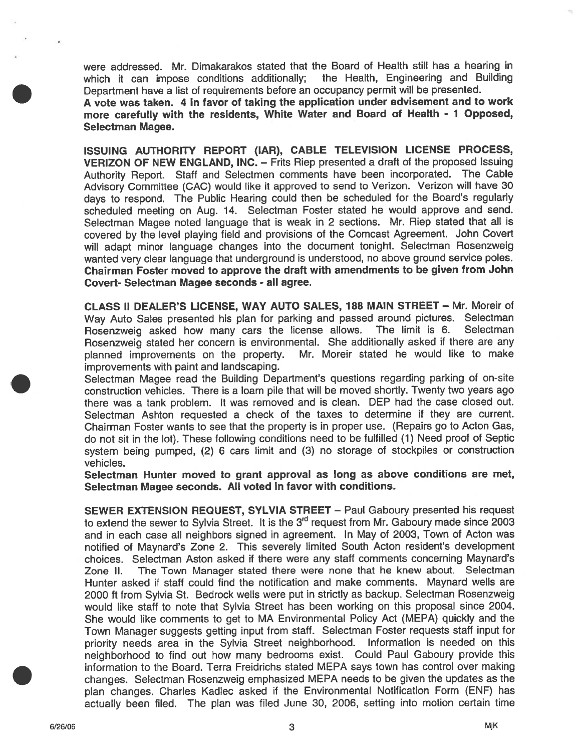were addressed. Mr. Dimakarakos stated that the Board of Health still has <sup>a</sup> hearing in which it can impose conditions additionally; the Health, Engineering and Building Department have <sup>a</sup> list of requirements before an occupancy permit will be presented.

A vote was taken. <sup>4</sup> in favor of taking the application under advisement and to work more carefully with the residents, White Water and Board of Health - <sup>1</sup> Opposed, Selectman Magee.

ISSUING AUTHORITY REPORT (IAR), CABLE TELEVISION LICENSE PROCESS, **VERIZON OF NEW ENGLAND, INC. –** Frits Riep presented a draft of the proposed Issuing Authority Report. Staff and Selectmen comments have been incorporated. The Cable Advisory Committee (CAC) would like it approve<sup>d</sup> to send to Verizon. Verizon will have <sup>30</sup> days to respond. The Public Hearing could then be scheduled for the Board's regularly scheduled meeting on Aug. 14. Selectman Foster stated he would approve and send. Selectman Magee noted language that is weak in 2 sections. Mr. Riep stated that all is covered by the level <sup>p</sup>laying field and provisions of the Comcast Agreement. John Covert will adapt minor language changes into the document tonight. Selectman Rosenzweig wanted very clear language that underground is understood, no above groun<sup>d</sup> service poles. Chairman Foster moved to approve the draft with amendments to be <sup>g</sup>iven from John Covert- Selectman Magee seconds - all agree.

CLASS II DEALER'S LICENSE, WAY AUTO SALES, 188 MAIN STREET – Mr. Moreir of Way Auto Sales presented his plan for parking and passed around pictures. Selectman<br>Bosenzweig asked how many cars the license allows. The limit is 6. Selectman Rosenzweig asked how many cars the license allows. The limit is 6. Rosenzweig stated her concern is environmental. She additionally asked if there are any <sup>p</sup>lanned improvements on the property. Mr. Moreir stated he would like to make improvements with paint and landscaping.

Selectman Magee read the Building Department's questions regarding parking of on-site construction vehicles. There is <sup>a</sup> loam pile that will be moved shortly. Twenty two years ago there was <sup>a</sup> tank problem. It was removed and is clean. DEP had the case closed out. Selectman Ashton requested a check of the taxes to determine if they are current Chairman Foster wants to see that the property is in proper use. (Repairs go to Acton Gas, do not sit in the lot). These following conditions need to be fulfilled (1) Need proof of Septic system being pumped, (2) <sup>6</sup> cars limit and (3) no storage of stockpiles or construction vehicles.

Selectman Hunter moved to gran<sup>t</sup> approval as long as above conditions are met, Selectman Magee seconds. All voted in favor with conditions.

SEWER EXTENSION REQUEST, SYLVIA STREET - Paul Gaboury presented his request to extend the sewer to Sylvia Street. It is the  $3<sup>rd</sup>$  request from Mr. Gaboury made since 2003 and in each case all neighbors signed in agreement. In May of 2003, Town of Acton was notified of Maynard's Zone 2. This severely limited South Acton resident's development choices. Selectman Aston asked if there were any staff comments concerning Maynard's Zone II. The Town Manager stated there were none that he knew about. Selectman Hunter asked if staff could find the notification and make comments. Maynard wells are <sup>2000</sup> ft from Sylvia St. Bedrock wells were pu<sup>t</sup> in strictly as backup. Selectman Rosenzweig would like staff to note that Sylvia Street has been working on this proposal since 2004. She would like comments to ge<sup>t</sup> to MA Environmental Policy Act (MEPA) quickly and the Town Manager suggests getting input from staff. Selectman Foster requests staff input for priority needs area in the Sylvia Street neighborhood. Information is needed on this neighborhood to find out how many bedrooms exist. Could Paul Gaboury provide this information to the Board. Terra Freidrichs stated MEPA says town has control over making changes. Selectman Rosenzweig emphasized MEPA needs to be <sup>g</sup>iven the updates as the <sup>p</sup>lan changes. Charles Kadlec asked if the Environmental Notification Form (ENF) has actually been filed. The <sup>p</sup>lan was filed June 30, 2006, setting into motion certain time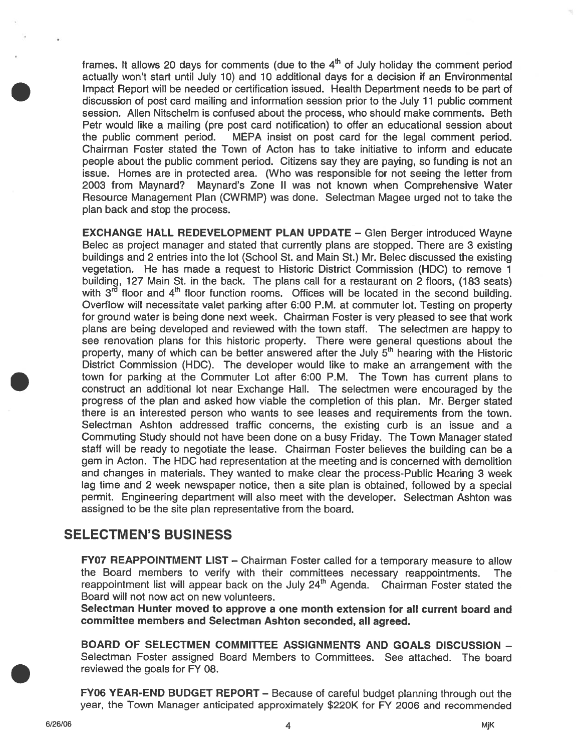frames. It allows 20 days for comments (due to the  $4<sup>th</sup>$  of July holiday the comment period actually won't start until July 10) and 10 additional days for <sup>a</sup> decision if an Environmental Impact Report will be needed or certification issued. Health Department needs to be par<sup>t</sup> of discussion of pos<sup>t</sup> card mailing and information session prior to the July 11 public comment session. Allen Nitschelm is confused about the process, who should make comments. Beth Petr would like <sup>a</sup> mailing (pre pos<sup>t</sup> card notification) to offer an educational session about the public comment period. MEPA insist on pos<sup>t</sup> card for the legal comment period. Chairman Foster stated the Town of Acton has to take initiative to inform and educate people about the public comment period. Citizens say they are paying, so funding is not an issue. Homes are in protected area. (Who was responsible for not seeing the letter from 2003 from Maynard? Maynard's Zone II was not known when Comprehensive Water Resource Management Plan (CWRMP) was done. Selectman Magee urged not to take the plan back and stop the process.

EXCHANGE HALL REDEVELOPMENT PLAN UPDATE — Glen Berger introduced Wayne Belec as project manager and stated that currently plans are stopped. There are 3 existing buildings and 2 entries into the lot (School St. and Main St.) Mr. Belec discussed the existing vegetation. He has made <sup>a</sup> reques<sup>t</sup> to Historic District Commission (HDC) to remove 1 building, 127 Main St. in the back. The plans call for <sup>a</sup> restaurant on 2 floors, (183 seats) with  $3^{r\bar{d}}$  floor and  $4^{th}$  floor function rooms. Offices will be located in the second building. Overflow will necessitate valet parking after 6:00 P.M. at commuter lot. Testing on property for ground water is being done next week. Chairman Foster is very pleased to see that work plans are being developed and reviewed with the town staff. The selectmen are happy to see renovation plans for this historic property. There were general questions about the property, many of which can be better answered after the July  $5<sup>th</sup>$  hearing with the Historic District Commission (HDC). The developer would like to make an arrangemen<sup>t</sup> with the town for parking at the Commuter Lot after 6:00 P.M. The Town has current plans to construct an additional lot near Exchange Hall. The selectmen were encouraged by the progress of the plan and asked how viable the completion of this plan. Mr. Berger stated there is an interested person who wants to see leases and requirements from the town. Selectman Ashton addressed traffic concerns, the existing curb is an issue and <sup>a</sup> Commuting Study should not have been done on <sup>a</sup> busy Friday. The Town Manager stated staff will be ready to negotiate the lease. Chairman Foster believes the building can be <sup>a</sup> gem in Acton. The HDC had representation at the meeting and is concerned with demolition and changes in materials. They wanted to make clear the process-Public Hearing 3 week lag time and 2 week newspaper notice, then <sup>a</sup> site plan is obtained, followed by <sup>a</sup> special permit. Engineering department will also meet with the developer. Selectman Ashton was assigned to be the site plan representative from the board.

# SELECTMEN'S BUSINESS

FY07 REAPPOINTMENT LIST — Chairman Foster called for <sup>a</sup> temporary measure to allow the Board members to verify with their committees necessary reappointments. The reappointment list will appear back on the July 24<sup>th</sup> Agenda. Chairman Foster stated the Board will not now act on new volunteers.

Selectman Hunter moved to approve <sup>a</sup> one month extension for all current board and committee members and Selectman Ashton seconded, all agreed.

BOARD OF SELECTMEN COMMITTEE ASSIGNMENTS AND GOALS DISCUSSION — Selectman Foster assigned Board Members to Committees. See attached. The board reviewed the goals for FY 08.

FY06 YEAR-END BUDGET REPORT — Because of careful budget planning through out the year, the Town Manager anticipated approximately \$220K for FY 2006 and recommended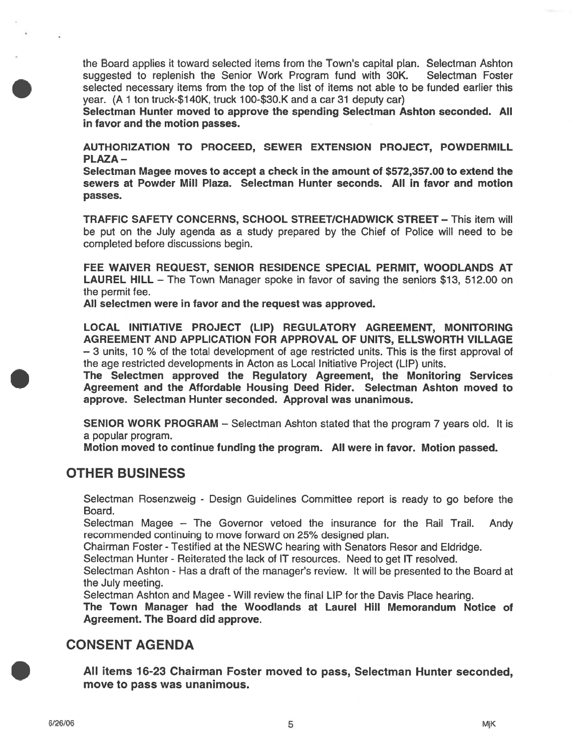the Board applies it toward selected items from the Town's capital plan. Selectman Ashton suggested to replenish the Senior Work Program fund with 30K. Selectman Foster selected necessary items from the top of the list of items not able to be funded earlier this year. (A 1 ton truck-\$140K, truck 100-\$30.K and <sup>a</sup> car 31 deputy car)

Selectman Hunter moved to approve the spending Selectman Ashton seconded. All in favor and the motion passes.

AUTHORIZATION TO PROCEED, SEWER EXTENSION PROJECT, POWDERMILL PLAZA-

Selectman Magee moves to accep<sup>t</sup> <sup>a</sup> check in the amount of \$572,357.00 to extend the sewers at Powder Mill Plaza. Selectman Hunter seconds. All in favor and motion passes.

TRAFFIC SAFETY CONCERNS, SCHOOL STREET/CHADWICK STREET — This item will be pu<sup>t</sup> on the July agenda as <sup>a</sup> study prepared by the Chief of Police will need to be completed before discussions begin.

FEE WAIVER REQUEST, SENIOR RESIDENCE SPECIAL PERMIT, WOODLANDS AT LAUREL HILL – The Town Manager spoke in favor of saving the seniors \$13, 512.00 on the permit fee.

All selectmen were in favor and the reques<sup>t</sup> was approved.

LOCAL INITIATIVE PROJECT (LIP) REGULATORY AGREEMENT, MONITORING AGREEMENT AND APPLICATION FOR APPROVAL OF UNITS, ELLSWORTH VILLAGE — 3 units, 10 ¾ of the total development of age restricted units. This is the first approval of the age restricted developments in Acton as Local Initiative Project (LIP) units.

The Selectmen approved the Regulatory Agreement, the Monitoring Services Agreement and the Affordable Housing Deed Rider. Selectman Ashton moved to approve. Selectman Hunter seconded. Approval was unanimous.

SENIOR WORK PROGRAM – Selectman Ashton stated that the program 7 years old. It is <sup>a</sup> popular program.

Motion moved to continue funding the program. All were in favor. Motion passed.

## OTHER BUSINESS

Selectman Rosenzweig - Design Guidelines Committee repor<sup>t</sup> is ready to go before the Board.

Selectman Magee — The Governor vetoed the insurance for the Rail Trail. Andy recommended continuing to move forward on 25% designed plan.

Chairman Foster -Testified at the NESWC hearing with Senators Resor and Eldridge.

Selectman Hunter - Reiterated the lack of IT resources. Need to ge<sup>t</sup> IT resolved.

Selectman Ashton - Has <sup>a</sup> draft of the manager's review. It will be presented to the Board at the July meeting.

Selectman Ashton and Magee - Will review the final LIP for the Davis Place hearing.

The Town Manager had the Woodlands at Laurel Hill Memorandum Notice of Agreement. The Board did approve.

## CONSENT AGENDA

All items 76-23 Chairman Foster moved to pass, Selectman Hunter seconded, move to pass was unanimous.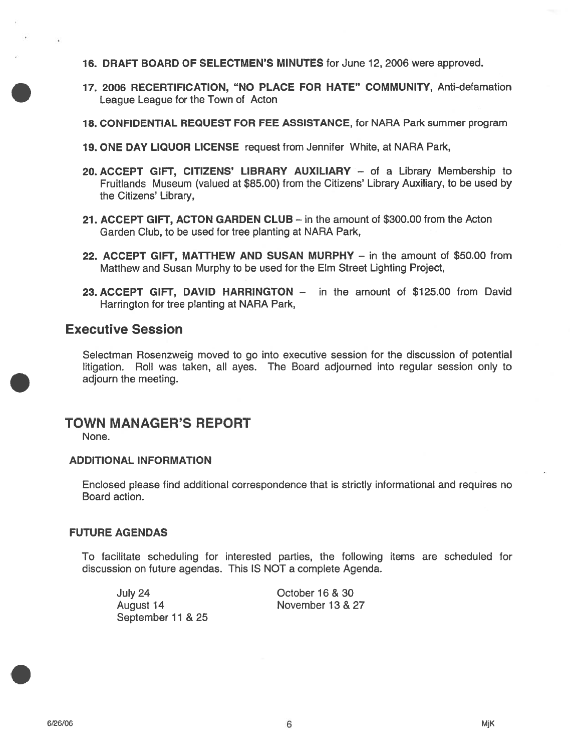- 16. DRAFT BOARD OF SELECTMEN'S MINUTES for June 12, 2006 were approved.
- 17. 2006 RECERTIFICATION, "NO PLACE FOR HATE" COMMUNITY, Anti-defamation League League for the Town of Acton
- 18. CONFIDENTIAL REQUEST FOR FEE ASSISTANCE, for NARA Park summer program
- 19. ONE DAY LIQUOR LICENSE reques<sup>t</sup> from Jennifer White, at NARA Park,
- 20. ACCEPT GIFT, CITIZENS' LIBRARY AUXILIARY of <sup>a</sup> Library Membership to Fruitlands Museum (valued at \$85.00) from the Citizens' Library Auxiliary, to be used by the Citizens' Library,
- 21. ACCEPT GIFT, ACTON GARDEN CLUB in the amount of \$300.00 from the Acton Garden Club, to be used for tree planting at NARA Park,
- 22. ACCEPT GIFT, MATTHEW AND SUSAN MURPHY in the amount of \$50.00 from Matthew and Susan Murphy to be used for the Elm Street Lighting Project,
- 23. ACCEPT GIFT, DAVID HARRINGTON in the amount of \$125.00 from David Harrington for tree planting at NARA Park,

## Executive Session

Selectman Rosenzweig moved to go into executive session for the discussion of potential litigation. Roll was taken, all ayes. The Board adjourned into regular session only to adjourn the meeting.

# TOWN MANAGER'S REPORT

None.

### ADDITIONAL INFORMATION

Enclosed please find additional correspondence that is strictly informational and requires no Board action.

### FUTURE AGENDAS

To facilitate scheduling for interested parties, the following items are scheduled for discussion on future agendas. This IS NOT <sup>a</sup> complete Agenda.

July 24 October 16 & 30 August 14 November 13 & 27 September 11 & 25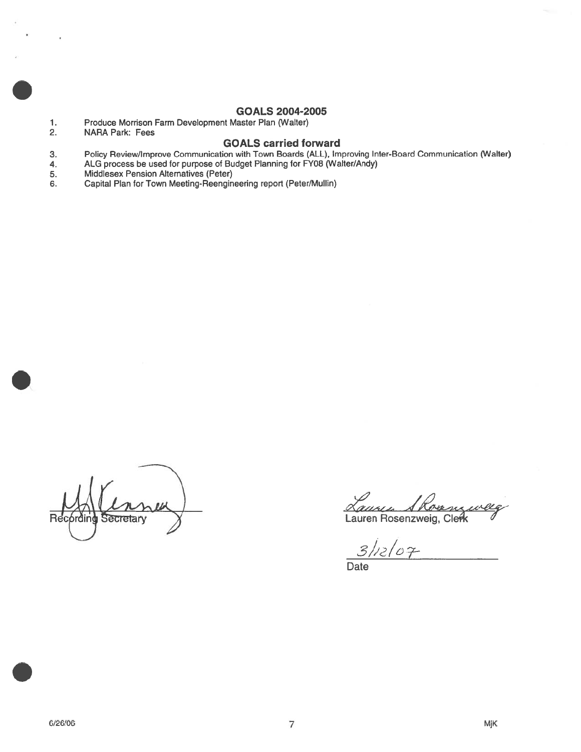## GOALS 2004-2005

- 1. Produce Morrison Farm Development Master Plan (Walter)
- 2. NARA Park: Fees

### GOALS carried forward

- 3. Policy Review/Improve Communication with Town Boards (ALL), Improving Inter-Board Communication (Walter)
- 4. ALG process be used for purpose of Budget Planning for FY08 (Walter/Andy)<br>5. Middlesex Pension Alternatives (Peter)
- Middlesex Pension Alternatives (Peter)
- 6. Capital Plan for Town Meeting-Reengineering repor<sup>t</sup> (Peter/Mullin)

Recording Secretary Y<br>Recording Secretary Y<br>Lauren Rosenzweig, Clerk

 $\mu$ 

 $3/12/07$ 

**Date**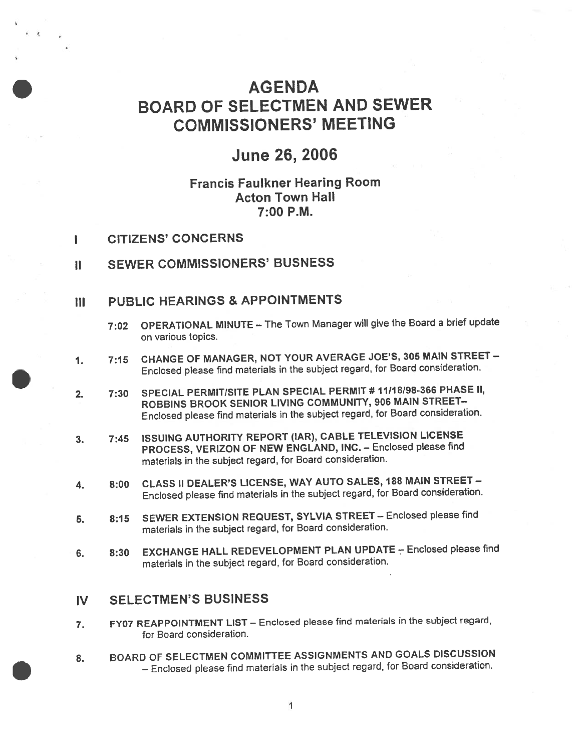# AGENDA BOARD OF SELECTMEN AND SEWER COMMISSIONERS' MEETING

# June 26, 2006

# Francis Faulkner Hearing Room Acton Town Hall 7:00 P.M.

- I CITIZENS' CONCERNS
- II SEWER COMMISSIONERS' BUSNESS

## Ill PUBLiC HEARINGS & APPOINTMENTS

- 7:02 OPERATIONAL MINUTE The Town Manager will give the Board a brief update on various topics.
- 1. 7:15 CHANGE OF MANAGER, NOT YOUR AVERAGE JOE'S, <sup>305</sup> MAIN STREET Enclosed <sup>p</sup>lease find materials in the subject regard, for Board consideration.
- 2. 7:30 SPECIAL PERMITISITE PLAN SPECIAL PERMIT # 11118198-366 PHASE II, ROBBINS BROOK SENIOR LIVING COMMUNITY, <sup>906</sup> MAIN STREET— Enclosed <sup>p</sup>lease find materials in the subject regard, for Board consideration.
- 3. 7:45 ISSUING AUTHORITY REPORT (IAR), CABLE TELEVISION LICENSE PROCESS, VERIZON OF NEW ENGLAND, tNC. — Enclosed <sup>p</sup>lease find materials in the subject regard, for Board consideration.
- 4. 8:00 CLASS II DEALER'S LICENSE, WAY AUTO SALES, <sup>188</sup> MAIN STREET Enclosed <sup>p</sup>lease find materials in the subject regard, for Board consideration.
- 5. 8:15 SEWER EXTENSION REQUEST, SYLVIA STREET Enclosed <sup>p</sup>lease find materials in the subject regard, for Board consideration.
- 6. 8:30 EXCHANGE HALL REDEVELOPMENT PLAN UPDATE Enclosed please find materials in the subject regard, for Board consideration.

# 1V SELECTMEN'S BUSINESS

- 7. FY07 REAPPOINTMENT LIST Enclosed <sup>p</sup>lease find materials in the subject regard, for Board consideration.
- 8. BOARD OF SELECTMEN COMMITTEE ASSIGNMENTS AND GOALS DISCUSSION — Enclosed <sup>p</sup>lease find materials in the subject regard, for Board consideration.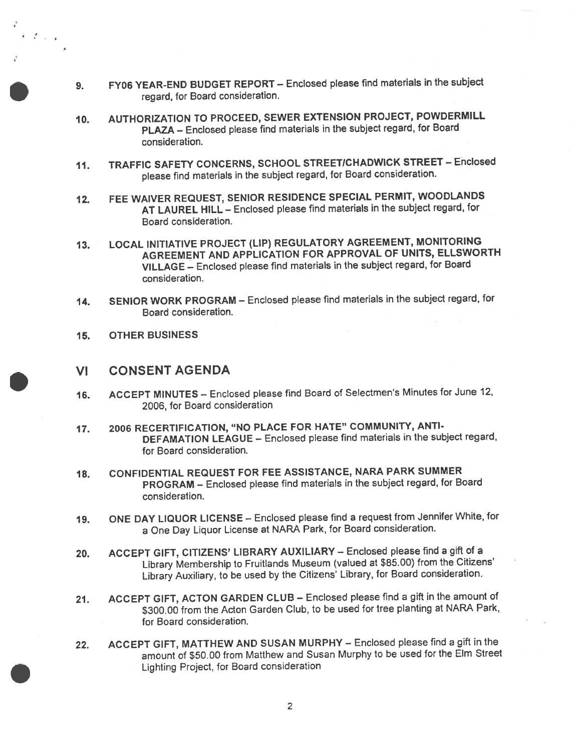- 9. FY06 YEAR-END BUDGET REPORT Enclosed <sup>p</sup>lease find materials in the subject regard, for Board consideration.
- 70. AUTHORIZATION TO PROCEED, SEWER EXTENSION PROJECT, POWDERMILL PLAZA — Enclosed <sup>p</sup>lease find materials in the subject regard, for Board consideration.
- 11. TRAFFIC SAFETY CONCERNS, SCHOOL STREET/CHADWICK STREET Enclosed <sup>p</sup>lease find materials in the subject regard, for Board consideration.
- 12. FEE WAIVER REQUEST, SENIOR RESIDENCE SPECIAL PERMIT, WOODLANDS AT LAUREL HILL — Enclosed <sup>p</sup>lease find materials in the subject regard, for Board consideration.
- 13. LOCAL INITIATIVE PROJECT (LIP) REGULATORY AGREEMENT, MONITORING AGREEMENT AND APPLICATION FOR APPROVAL OF UNITS, ELLSWORTH VILLAGE — Enclosed <sup>p</sup>lease find materials in the subject regard, for Board consideration.
- 14. SENIOR WORK PROGRAM Enclosed <sup>p</sup>lease find materials in the subject regard, for Board consideration.
- 15. OTHER BUSINESS

 $\epsilon$  is the set

### VI CONSENT AGENDA

- 16. ACCEPT MINUTES Enclosed <sup>p</sup>lease find Board of Selectmen's Minutes for June 12, 2006, for Board consideration
- 17. 2006 RECERTIFICATION, "NO PLACE FOR HATE" COMMUNITY, ANTI-DEFAMATION LEAGUE — Enclosed <sup>p</sup>lease find materials in the subject regard, for Board consideration.
- 18. CONFIDENTIAL REQUEST FOR FEE ASSISTANCE, NARA PARK SUMMER PROGRAM — Enclosed <sup>p</sup>lease find materials in the subject regard, for Board consideration.
- 19. ONE DAY LIQUOR LICENSE Enclosed <sup>p</sup>lease find <sup>a</sup> reques<sup>t</sup> from Jennifer White, for <sup>a</sup> One Day Liquor License at NARA Park, for Board consideration.
- 20. ACCEPT GIFT, CITIZENS' LIBRARY AUXILIARY Enclosed <sup>p</sup>lease find <sup>a</sup> <sup>g</sup>ift of <sup>a</sup> Library Membership to Fruitlands Museum (valued at \$85.00) from the Citizens' Library Auxiliary, to be used by the Citizens' Library, for Board consideration.
- 21. ACCEPT GIFT, ACTON GARDEN CLUB Enclosed <sup>p</sup>lease find <sup>a</sup> <sup>g</sup>ift in the amount of \$300.00 from the Acton Garden Club, to be used for tree <sup>p</sup>lanting at NARA Park, for Board consideration.
- 22. ACCEPT GIFT, MATTHEW AND SUSAN MURPHY Enclosed <sup>p</sup>lease find <sup>a</sup> <sup>g</sup>ift in the amount of \$50.00 from Matthew and Susan Murphy to be used for the Elm Street Lighting Project, for Board consideration